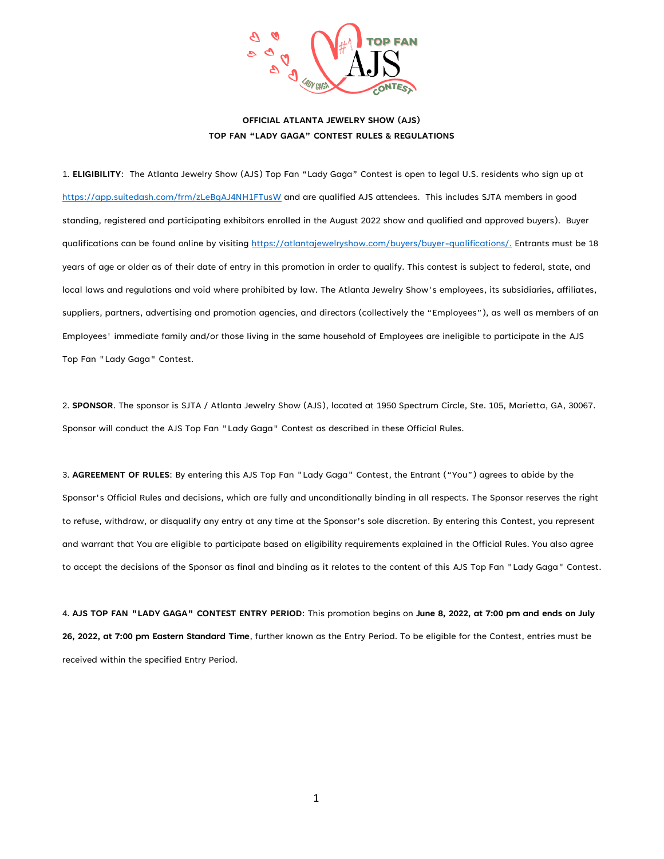

1. **ELIGIBILITY**: The Atlanta Jewelry Show (AJS) Top Fan "Lady Gaga" Contest is open to legal U.S. residents who sign up at <https://app.suitedash.com/frm/zLeBqAJ4NH1FTusW> and are qualified AJS attendees. This includes SJTA members in good standing, registered and participating exhibitors enrolled in the August 2022 show and qualified and approved buyers). Buyer qualifications can be found online by visiting [https://atlantajewelryshow.com/buyers/buyer-qualifications/.](https://atlantajewelryshow.com/buyers/buyer-qualifications/) Entrants must be 18 years of age or older as of their date of entry in this promotion in order to qualify. This contest is subject to federal, state, and local laws and regulations and void where prohibited by law. The Atlanta Jewelry Show's employees, its subsidiaries, affiliates, suppliers, partners, advertising and promotion agencies, and directors (collectively the "Employees"), as well as members of an Employees' immediate family and/or those living in the same household of Employees are ineligible to participate in the AJS Top Fan "Lady Gaga" Contest.

2. **SPONSOR**. The sponsor is SJTA / Atlanta Jewelry Show (AJS), located at 1950 Spectrum Circle, Ste. 105, Marietta, GA, 30067. Sponsor will conduct the AJS Top Fan "Lady Gaga" Contest as described in these Official Rules.

3. **AGREEMENT OF RULES**: By entering this AJS Top Fan "Lady Gaga" Contest, the Entrant ("You") agrees to abide by the Sponsor's Official Rules and decisions, which are fully and unconditionally binding in all respects. The Sponsor reserves the right to refuse, withdraw, or disqualify any entry at any time at the Sponsor's sole discretion. By entering this Contest, you represent and warrant that You are eligible to participate based on eligibility requirements explained in the Official Rules. You also agree to accept the decisions of the Sponsor as final and binding as it relates to the content of this AJS Top Fan "Lady Gaga" Contest.

4. **AJS TOP FAN "LADY GAGA" CONTEST ENTRY PERIOD**: This promotion begins on **June 8, 2022, at 7:00 pm and ends on July 26, 2022, at 7:00 pm Eastern Standard Time**, further known as the Entry Period. To be eligible for the Contest, entries must be received within the specified Entry Period.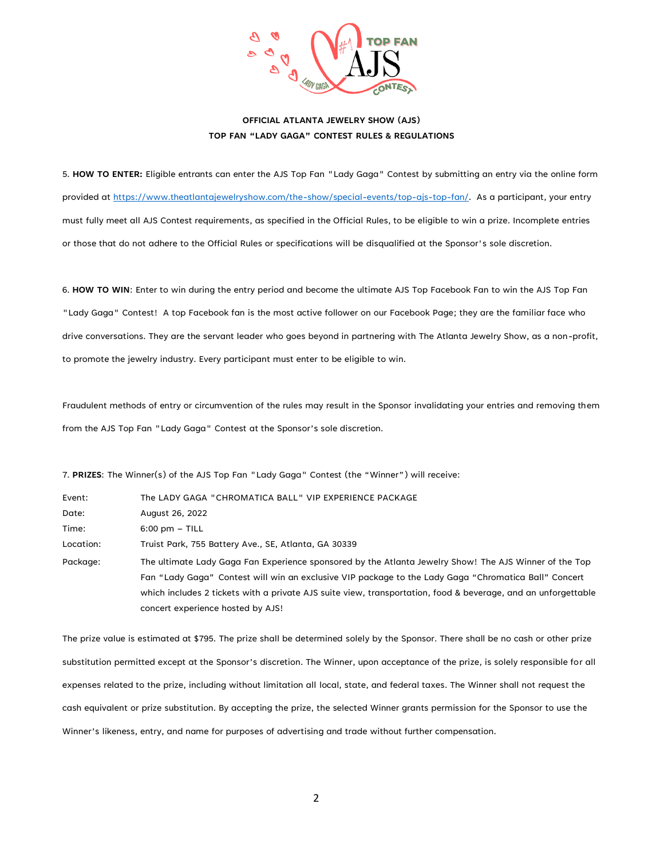

5. **HOW TO ENTER:** Eligible entrants can enter the AJS Top Fan "Lady Gaga" Contest by submitting an entry via the online form provided at [https://www.theatlantajewelryshow.com/the-show/special-events/top-ajs-top-fan/.](https://www.theatlantajewelryshow.com/the-show/special-events/top-ajs-top-fan/) As a participant, your entry must fully meet all AJS Contest requirements, as specified in the Official Rules, to be eligible to win a prize. Incomplete entries or those that do not adhere to the Official Rules or specifications will be disqualified at the Sponsor's sole discretion.

6. **HOW TO WIN**: Enter to win during the entry period and become the ultimate AJS Top Facebook Fan to win the AJS Top Fan "Lady Gaga" Contest! A top Facebook fan is the most active follower on our Facebook Page; they are the familiar face who drive conversations. They are the servant leader who goes beyond in partnering with The Atlanta Jewelry Show, as a non-profit, to promote the jewelry industry. Every participant must enter to be eligible to win.

Fraudulent methods of entry or circumvention of the rules may result in the Sponsor invalidating your entries and removing them from the AJS Top Fan "Lady Gaga" Contest at the Sponsor's sole discretion.

7. **PRIZES**: The Winner(s) of the AJS Top Fan "Lady Gaga" Contest (the "Winner") will receive:

| Event:    | The LADY GAGA "CHROMATICA BALL" VIP EXPERIENCE PACKAGE                                                        |
|-----------|---------------------------------------------------------------------------------------------------------------|
| Date:     | August 26, 2022                                                                                               |
| Time:     | $6:00 \text{ pm} - \text{TILL}$                                                                               |
| Location: | Truist Park, 755 Battery Ave., SE, Atlanta, GA 30339                                                          |
| Package:  | The ultimate Lady Gaga Fan Experience sponsored by the Atlanta Jewelry Show! The AJS Winner of the Top        |
|           | Fan "Lady Gaga" Contest will win an exclusive VIP package to the Lady Gaga "Chromatica Ball" Concert          |
|           | which includes 2 tickets with a private AJS suite view, transportation, food & beverage, and an unforgettable |
|           | concert experience hosted by AJS!                                                                             |

The prize value is estimated at \$795. The prize shall be determined solely by the Sponsor. There shall be no cash or other prize substitution permitted except at the Sponsor's discretion. The Winner, upon acceptance of the prize, is solely responsible for all expenses related to the prize, including without limitation all local, state, and federal taxes. The Winner shall not request the cash equivalent or prize substitution. By accepting the prize, the selected Winner grants permission for the Sponsor to use the Winner's likeness, entry, and name for purposes of advertising and trade without further compensation.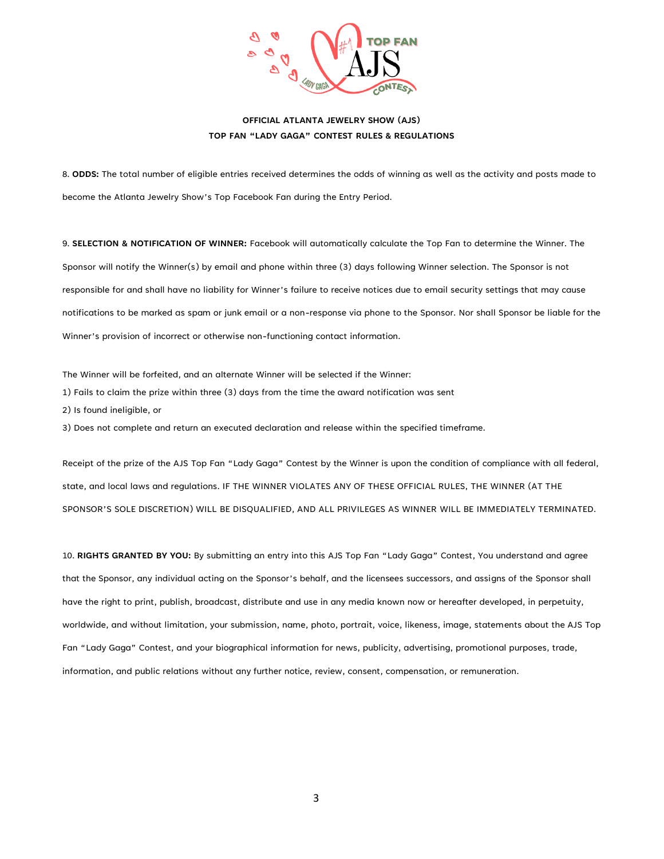

8. **ODDS:** The total number of eligible entries received determines the odds of winning as well as the activity and posts made to become the Atlanta Jewelry Show's Top Facebook Fan during the Entry Period.

9. **SELECTION & NOTIFICATION OF WINNER:** Facebook will automatically calculate the Top Fan to determine the Winner. The Sponsor will notify the Winner(s) by email and phone within three (3) days following Winner selection. The Sponsor is not responsible for and shall have no liability for Winner's failure to receive notices due to email security settings that may cause notifications to be marked as spam or junk email or a non-response via phone to the Sponsor. Nor shall Sponsor be liable for the Winner's provision of incorrect or otherwise non-functioning contact information.

The Winner will be forfeited, and an alternate Winner will be selected if the Winner:

- 1) Fails to claim the prize within three (3) days from the time the award notification was sent
- 2) Is found ineligible, or

3) Does not complete and return an executed declaration and release within the specified timeframe.

Receipt of the prize of the AJS Top Fan "Lady Gaga" Contest by the Winner is upon the condition of compliance with all federal, state, and local laws and regulations. IF THE WINNER VIOLATES ANY OF THESE OFFICIAL RULES, THE WINNER (AT THE SPONSOR'S SOLE DISCRETION) WILL BE DISQUALIFIED, AND ALL PRIVILEGES AS WINNER WILL BE IMMEDIATELY TERMINATED.

10. **RIGHTS GRANTED BY YOU:** By submitting an entry into this AJS Top Fan "Lady Gaga" Contest, You understand and agree that the Sponsor, any individual acting on the Sponsor's behalf, and the licensees successors, and assigns of the Sponsor shall have the right to print, publish, broadcast, distribute and use in any media known now or hereafter developed, in perpetuity, worldwide, and without limitation, your submission, name, photo, portrait, voice, likeness, image, statements about the AJS Top Fan "Lady Gaga" Contest, and your biographical information for news, publicity, advertising, promotional purposes, trade, information, and public relations without any further notice, review, consent, compensation, or remuneration.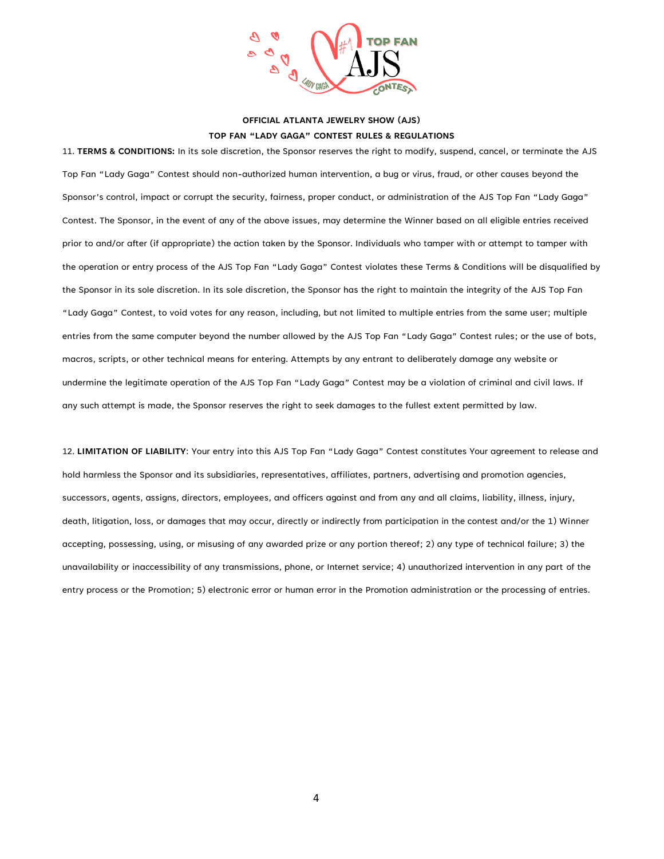

11. **TERMS & CONDITIONS:** In its sole discretion, the Sponsor reserves the right to modify, suspend, cancel, or terminate the AJS Top Fan "Lady Gaga" Contest should non-authorized human intervention, a bug or virus, fraud, or other causes beyond the Sponsor's control, impact or corrupt the security, fairness, proper conduct, or administration of the AJS Top Fan "Lady Gaga" Contest. The Sponsor, in the event of any of the above issues, may determine the Winner based on all eligible entries received prior to and/or after (if appropriate) the action taken by the Sponsor. Individuals who tamper with or attempt to tamper with the operation or entry process of the AJS Top Fan "Lady Gaga" Contest violates these Terms & Conditions will be disqualified by the Sponsor in its sole discretion. In its sole discretion, the Sponsor has the right to maintain the integrity of the AJS Top Fan "Lady Gaga" Contest, to void votes for any reason, including, but not limited to multiple entries from the same user; multiple entries from the same computer beyond the number allowed by the AJS Top Fan "Lady Gaga" Contest rules; or the use of bots, macros, scripts, or other technical means for entering. Attempts by any entrant to deliberately damage any website or undermine the legitimate operation of the AJS Top Fan "Lady Gaga" Contest may be a violation of criminal and civil laws. If any such attempt is made, the Sponsor reserves the right to seek damages to the fullest extent permitted by law.

12. **LIMITATION OF LIABILITY**: Your entry into this AJS Top Fan "Lady Gaga" Contest constitutes Your agreement to release and hold harmless the Sponsor and its subsidiaries, representatives, affiliates, partners, advertising and promotion agencies, successors, agents, assigns, directors, employees, and officers against and from any and all claims, liability, illness, injury, death, litigation, loss, or damages that may occur, directly or indirectly from participation in the contest and/or the 1) Winner accepting, possessing, using, or misusing of any awarded prize or any portion thereof; 2) any type of technical failure; 3) the unavailability or inaccessibility of any transmissions, phone, or Internet service; 4) unauthorized intervention in any part of the entry process or the Promotion; 5) electronic error or human error in the Promotion administration or the processing of entries.